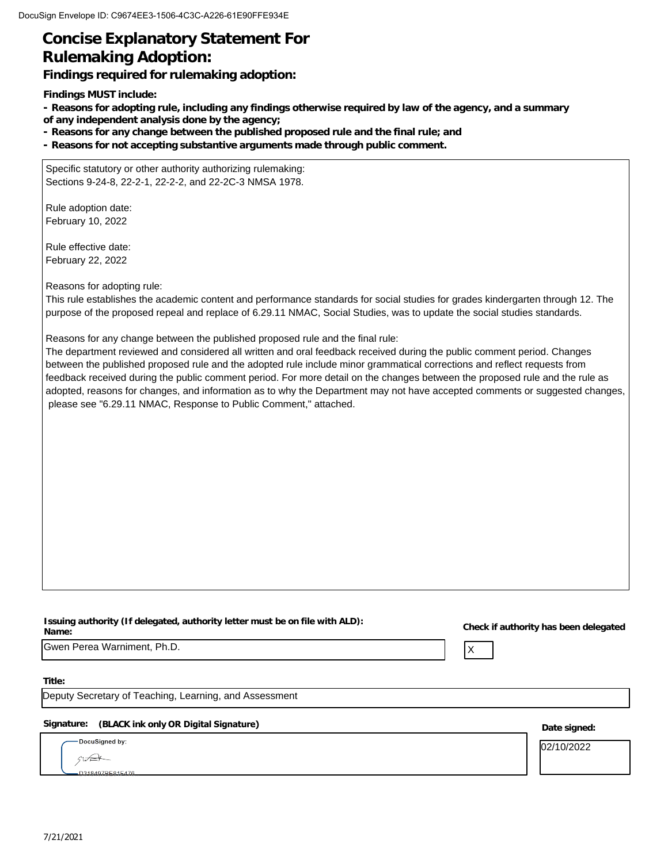# **Concise Explanatory Statement For Rulemaking Adoption:**

**Findings required for rulemaking adoption:**

**Findings MUST include:**

**- Reasons for adopting rule, including any findings otherwise required by law of the agency, and a summary of any independent analysis done by the agency;**

**- Reasons for any change between the published proposed rule and the final rule; and**

**- Reasons for not accepting substantive arguments made through public comment.**

Specific statutory or other authority authorizing rulemaking: Sections 9-24-8, 22-2-1, 22-2-2, and 22-2C-3 NMSA 1978.

Rule adoption date: February 10, 2022

Rule effective date: February 22, 2022

Reasons for adopting rule:

This rule establishes the academic content and performance standards for social studies for grades kindergarten through 12. The purpose of the proposed repeal and replace of 6.29.11 NMAC, Social Studies, was to update the social studies standards.

Reasons for any change between the published proposed rule and the final rule:

The department reviewed and considered all written and oral feedback received during the public comment period. Changes between the published proposed rule and the adopted rule include minor grammatical corrections and reflect requests from feedback received during the public comment period. For more detail on the changes between the proposed rule and the rule as adopted, reasons for changes, and information as to why the Department may not have accepted comments or suggested changes, please see "6.29.11 NMAC, Response to Public Comment," attached.

| Issuing authority (If delegated, authority letter must be on file with ALD): |  |
|------------------------------------------------------------------------------|--|
| Name:                                                                        |  |
|                                                                              |  |

**Name: Check if authority has been delegated**

 $\mathsf{X}$ 

Gwen Perea Warniment, Ph.D.

**Title:**

Deputy Secretary of Teaching, Learning, and Assessment

#### **Signature: (BLACK ink only OR Digital Signature) Date signed:**

DocuSigned by:  $512$ 

02/10/2022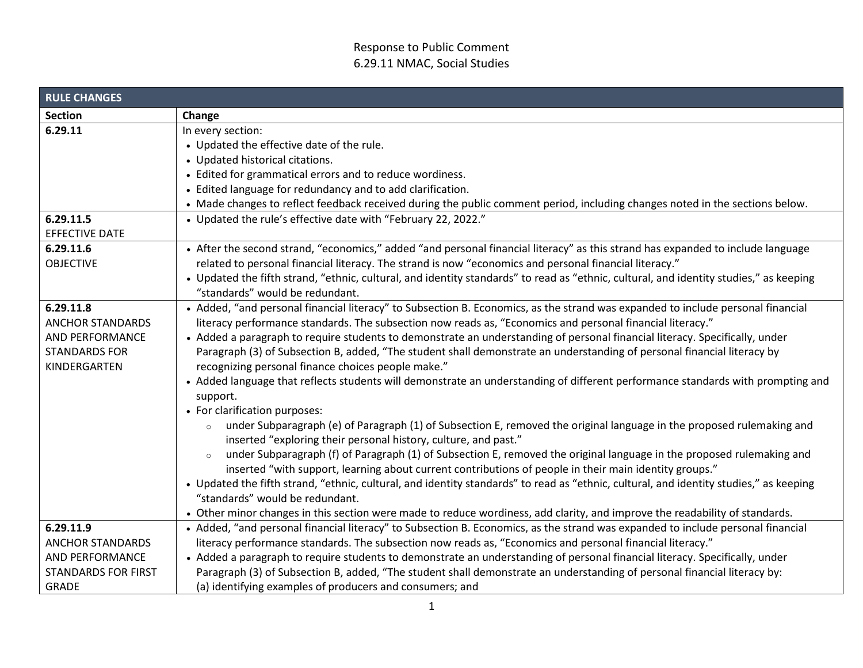| <b>RULE CHANGES</b>                                                                             |                                                                                                                                                                                                                                                                                                                                                                                                                                                                                                                                                                                                                                                                                                                                                                                                                                                                                                                                                                                                                                                                                                                                                                                                                                                                                                                                                                                |
|-------------------------------------------------------------------------------------------------|--------------------------------------------------------------------------------------------------------------------------------------------------------------------------------------------------------------------------------------------------------------------------------------------------------------------------------------------------------------------------------------------------------------------------------------------------------------------------------------------------------------------------------------------------------------------------------------------------------------------------------------------------------------------------------------------------------------------------------------------------------------------------------------------------------------------------------------------------------------------------------------------------------------------------------------------------------------------------------------------------------------------------------------------------------------------------------------------------------------------------------------------------------------------------------------------------------------------------------------------------------------------------------------------------------------------------------------------------------------------------------|
| <b>Section</b>                                                                                  | Change                                                                                                                                                                                                                                                                                                                                                                                                                                                                                                                                                                                                                                                                                                                                                                                                                                                                                                                                                                                                                                                                                                                                                                                                                                                                                                                                                                         |
| 6.29.11                                                                                         | In every section:                                                                                                                                                                                                                                                                                                                                                                                                                                                                                                                                                                                                                                                                                                                                                                                                                                                                                                                                                                                                                                                                                                                                                                                                                                                                                                                                                              |
|                                                                                                 | • Updated the effective date of the rule.                                                                                                                                                                                                                                                                                                                                                                                                                                                                                                                                                                                                                                                                                                                                                                                                                                                                                                                                                                                                                                                                                                                                                                                                                                                                                                                                      |
|                                                                                                 | • Updated historical citations.                                                                                                                                                                                                                                                                                                                                                                                                                                                                                                                                                                                                                                                                                                                                                                                                                                                                                                                                                                                                                                                                                                                                                                                                                                                                                                                                                |
|                                                                                                 | • Edited for grammatical errors and to reduce wordiness.                                                                                                                                                                                                                                                                                                                                                                                                                                                                                                                                                                                                                                                                                                                                                                                                                                                                                                                                                                                                                                                                                                                                                                                                                                                                                                                       |
|                                                                                                 | • Edited language for redundancy and to add clarification.                                                                                                                                                                                                                                                                                                                                                                                                                                                                                                                                                                                                                                                                                                                                                                                                                                                                                                                                                                                                                                                                                                                                                                                                                                                                                                                     |
|                                                                                                 | • Made changes to reflect feedback received during the public comment period, including changes noted in the sections below.                                                                                                                                                                                                                                                                                                                                                                                                                                                                                                                                                                                                                                                                                                                                                                                                                                                                                                                                                                                                                                                                                                                                                                                                                                                   |
| 6.29.11.5                                                                                       | • Updated the rule's effective date with "February 22, 2022."                                                                                                                                                                                                                                                                                                                                                                                                                                                                                                                                                                                                                                                                                                                                                                                                                                                                                                                                                                                                                                                                                                                                                                                                                                                                                                                  |
| EFFECTIVE DATE                                                                                  |                                                                                                                                                                                                                                                                                                                                                                                                                                                                                                                                                                                                                                                                                                                                                                                                                                                                                                                                                                                                                                                                                                                                                                                                                                                                                                                                                                                |
| 6.29.11.6<br><b>OBJECTIVE</b>                                                                   | • After the second strand, "economics," added "and personal financial literacy" as this strand has expanded to include language<br>related to personal financial literacy. The strand is now "economics and personal financial literacy."                                                                                                                                                                                                                                                                                                                                                                                                                                                                                                                                                                                                                                                                                                                                                                                                                                                                                                                                                                                                                                                                                                                                      |
|                                                                                                 | • Updated the fifth strand, "ethnic, cultural, and identity standards" to read as "ethnic, cultural, and identity studies," as keeping<br>"standards" would be redundant.                                                                                                                                                                                                                                                                                                                                                                                                                                                                                                                                                                                                                                                                                                                                                                                                                                                                                                                                                                                                                                                                                                                                                                                                      |
| 6.29.11.8<br><b>ANCHOR STANDARDS</b><br>AND PERFORMANCE<br><b>STANDARDS FOR</b><br>KINDERGARTEN | • Added, "and personal financial literacy" to Subsection B. Economics, as the strand was expanded to include personal financial<br>literacy performance standards. The subsection now reads as, "Economics and personal financial literacy."<br>• Added a paragraph to require students to demonstrate an understanding of personal financial literacy. Specifically, under<br>Paragraph (3) of Subsection B, added, "The student shall demonstrate an understanding of personal financial literacy by<br>recognizing personal finance choices people make."<br>• Added language that reflects students will demonstrate an understanding of different performance standards with prompting and<br>support.<br>• For clarification purposes:<br>under Subparagraph (e) of Paragraph (1) of Subsection E, removed the original language in the proposed rulemaking and<br>$\circ$<br>inserted "exploring their personal history, culture, and past."<br>under Subparagraph (f) of Paragraph (1) of Subsection E, removed the original language in the proposed rulemaking and<br>$\circ$<br>inserted "with support, learning about current contributions of people in their main identity groups."<br>• Updated the fifth strand, "ethnic, cultural, and identity standards" to read as "ethnic, cultural, and identity studies," as keeping<br>"standards" would be redundant. |
|                                                                                                 | • Other minor changes in this section were made to reduce wordiness, add clarity, and improve the readability of standards.                                                                                                                                                                                                                                                                                                                                                                                                                                                                                                                                                                                                                                                                                                                                                                                                                                                                                                                                                                                                                                                                                                                                                                                                                                                    |
| 6.29.11.9                                                                                       | • Added, "and personal financial literacy" to Subsection B. Economics, as the strand was expanded to include personal financial                                                                                                                                                                                                                                                                                                                                                                                                                                                                                                                                                                                                                                                                                                                                                                                                                                                                                                                                                                                                                                                                                                                                                                                                                                                |
| <b>ANCHOR STANDARDS</b>                                                                         | literacy performance standards. The subsection now reads as, "Economics and personal financial literacy."                                                                                                                                                                                                                                                                                                                                                                                                                                                                                                                                                                                                                                                                                                                                                                                                                                                                                                                                                                                                                                                                                                                                                                                                                                                                      |
| AND PERFORMANCE                                                                                 | • Added a paragraph to require students to demonstrate an understanding of personal financial literacy. Specifically, under                                                                                                                                                                                                                                                                                                                                                                                                                                                                                                                                                                                                                                                                                                                                                                                                                                                                                                                                                                                                                                                                                                                                                                                                                                                    |
| <b>STANDARDS FOR FIRST</b>                                                                      | Paragraph (3) of Subsection B, added, "The student shall demonstrate an understanding of personal financial literacy by:                                                                                                                                                                                                                                                                                                                                                                                                                                                                                                                                                                                                                                                                                                                                                                                                                                                                                                                                                                                                                                                                                                                                                                                                                                                       |
| <b>GRADE</b>                                                                                    | (a) identifying examples of producers and consumers; and                                                                                                                                                                                                                                                                                                                                                                                                                                                                                                                                                                                                                                                                                                                                                                                                                                                                                                                                                                                                                                                                                                                                                                                                                                                                                                                       |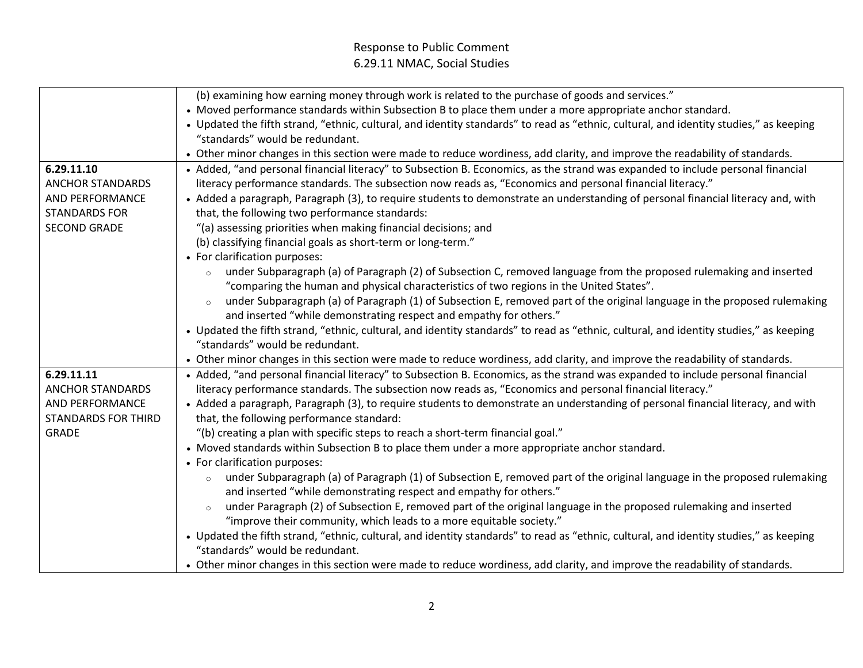|                            | (b) examining how earning money through work is related to the purchase of goods and services."                                        |
|----------------------------|----------------------------------------------------------------------------------------------------------------------------------------|
|                            | • Moved performance standards within Subsection B to place them under a more appropriate anchor standard.                              |
|                            | • Updated the fifth strand, "ethnic, cultural, and identity standards" to read as "ethnic, cultural, and identity studies," as keeping |
|                            | "standards" would be redundant.                                                                                                        |
|                            | • Other minor changes in this section were made to reduce wordiness, add clarity, and improve the readability of standards.            |
| 6.29.11.10                 | • Added, "and personal financial literacy" to Subsection B. Economics, as the strand was expanded to include personal financial        |
| <b>ANCHOR STANDARDS</b>    | literacy performance standards. The subsection now reads as, "Economics and personal financial literacy."                              |
| AND PERFORMANCE            | • Added a paragraph, Paragraph (3), to require students to demonstrate an understanding of personal financial literacy and, with       |
| <b>STANDARDS FOR</b>       | that, the following two performance standards:                                                                                         |
| <b>SECOND GRADE</b>        | "(a) assessing priorities when making financial decisions; and                                                                         |
|                            | (b) classifying financial goals as short-term or long-term."                                                                           |
|                            | • For clarification purposes:                                                                                                          |
|                            | under Subparagraph (a) of Paragraph (2) of Subsection C, removed language from the proposed rulemaking and inserted<br>$\circ$         |
|                            | "comparing the human and physical characteristics of two regions in the United States".                                                |
|                            | under Subparagraph (a) of Paragraph (1) of Subsection E, removed part of the original language in the proposed rulemaking<br>$\circ$   |
|                            | and inserted "while demonstrating respect and empathy for others."                                                                     |
|                            | • Updated the fifth strand, "ethnic, cultural, and identity standards" to read as "ethnic, cultural, and identity studies," as keeping |
|                            | "standards" would be redundant.                                                                                                        |
|                            | • Other minor changes in this section were made to reduce wordiness, add clarity, and improve the readability of standards.            |
| 6.29.11.11                 | • Added, "and personal financial literacy" to Subsection B. Economics, as the strand was expanded to include personal financial        |
| <b>ANCHOR STANDARDS</b>    | literacy performance standards. The subsection now reads as, "Economics and personal financial literacy."                              |
| AND PERFORMANCE            | • Added a paragraph, Paragraph (3), to require students to demonstrate an understanding of personal financial literacy, and with       |
| <b>STANDARDS FOR THIRD</b> | that, the following performance standard:                                                                                              |
| <b>GRADE</b>               | "(b) creating a plan with specific steps to reach a short-term financial goal."                                                        |
|                            | • Moved standards within Subsection B to place them under a more appropriate anchor standard.                                          |
|                            | • For clarification purposes:                                                                                                          |
|                            | under Subparagraph (a) of Paragraph (1) of Subsection E, removed part of the original language in the proposed rulemaking<br>$\circ$   |
|                            | and inserted "while demonstrating respect and empathy for others."                                                                     |
|                            | under Paragraph (2) of Subsection E, removed part of the original language in the proposed rulemaking and inserted                     |
|                            | "improve their community, which leads to a more equitable society."                                                                    |
|                            | • Updated the fifth strand, "ethnic, cultural, and identity standards" to read as "ethnic, cultural, and identity studies," as keeping |
|                            | "standards" would be redundant.                                                                                                        |
|                            | • Other minor changes in this section were made to reduce wordiness, add clarity, and improve the readability of standards.            |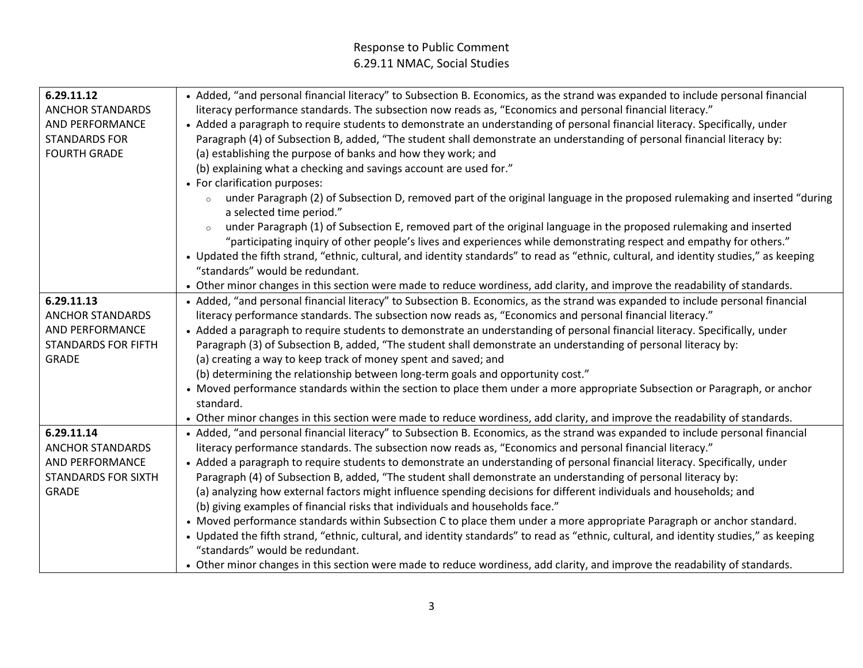| 6.29.11.12                 | • Added, "and personal financial literacy" to Subsection B. Economics, as the strand was expanded to include personal financial                                   |  |  |
|----------------------------|-------------------------------------------------------------------------------------------------------------------------------------------------------------------|--|--|
| <b>ANCHOR STANDARDS</b>    | literacy performance standards. The subsection now reads as, "Economics and personal financial literacy."                                                         |  |  |
| AND PERFORMANCE            | • Added a paragraph to require students to demonstrate an understanding of personal financial literacy. Specifically, under                                       |  |  |
| <b>STANDARDS FOR</b>       | Paragraph (4) of Subsection B, added, "The student shall demonstrate an understanding of personal financial literacy by:                                          |  |  |
| <b>FOURTH GRADE</b>        | (a) establishing the purpose of banks and how they work; and                                                                                                      |  |  |
|                            | (b) explaining what a checking and savings account are used for."                                                                                                 |  |  |
|                            | • For clarification purposes:                                                                                                                                     |  |  |
|                            | under Paragraph (2) of Subsection D, removed part of the original language in the proposed rulemaking and inserted "during<br>$\circ$<br>a selected time period." |  |  |
|                            | under Paragraph (1) of Subsection E, removed part of the original language in the proposed rulemaking and inserted                                                |  |  |
|                            | "participating inquiry of other people's lives and experiences while demonstrating respect and empathy for others."                                               |  |  |
|                            | • Updated the fifth strand, "ethnic, cultural, and identity standards" to read as "ethnic, cultural, and identity studies," as keeping                            |  |  |
|                            | "standards" would be redundant.                                                                                                                                   |  |  |
|                            | • Other minor changes in this section were made to reduce wordiness, add clarity, and improve the readability of standards.                                       |  |  |
| 6.29.11.13                 | • Added, "and personal financial literacy" to Subsection B. Economics, as the strand was expanded to include personal financial                                   |  |  |
| <b>ANCHOR STANDARDS</b>    | literacy performance standards. The subsection now reads as, "Economics and personal financial literacy."                                                         |  |  |
| AND PERFORMANCE            | • Added a paragraph to require students to demonstrate an understanding of personal financial literacy. Specifically, under                                       |  |  |
| <b>STANDARDS FOR FIFTH</b> | Paragraph (3) of Subsection B, added, "The student shall demonstrate an understanding of personal literacy by:                                                    |  |  |
| <b>GRADE</b>               | (a) creating a way to keep track of money spent and saved; and                                                                                                    |  |  |
|                            | (b) determining the relationship between long-term goals and opportunity cost."                                                                                   |  |  |
|                            | • Moved performance standards within the section to place them under a more appropriate Subsection or Paragraph, or anchor                                        |  |  |
|                            | standard.                                                                                                                                                         |  |  |
|                            | • Other minor changes in this section were made to reduce wordiness, add clarity, and improve the readability of standards.                                       |  |  |
| 6.29.11.14                 | • Added, "and personal financial literacy" to Subsection B. Economics, as the strand was expanded to include personal financial                                   |  |  |
| <b>ANCHOR STANDARDS</b>    | literacy performance standards. The subsection now reads as, "Economics and personal financial literacy."                                                         |  |  |
| AND PERFORMANCE            | • Added a paragraph to require students to demonstrate an understanding of personal financial literacy. Specifically, under                                       |  |  |
| <b>STANDARDS FOR SIXTH</b> | Paragraph (4) of Subsection B, added, "The student shall demonstrate an understanding of personal literacy by:                                                    |  |  |
| <b>GRADE</b>               | (a) analyzing how external factors might influence spending decisions for different individuals and households; and                                               |  |  |
|                            | (b) giving examples of financial risks that individuals and households face."                                                                                     |  |  |
|                            | • Moved performance standards within Subsection C to place them under a more appropriate Paragraph or anchor standard.                                            |  |  |
|                            | • Updated the fifth strand, "ethnic, cultural, and identity standards" to read as "ethnic, cultural, and identity studies," as keeping                            |  |  |
|                            | "standards" would be redundant.                                                                                                                                   |  |  |
|                            | • Other minor changes in this section were made to reduce wordiness, add clarity, and improve the readability of standards.                                       |  |  |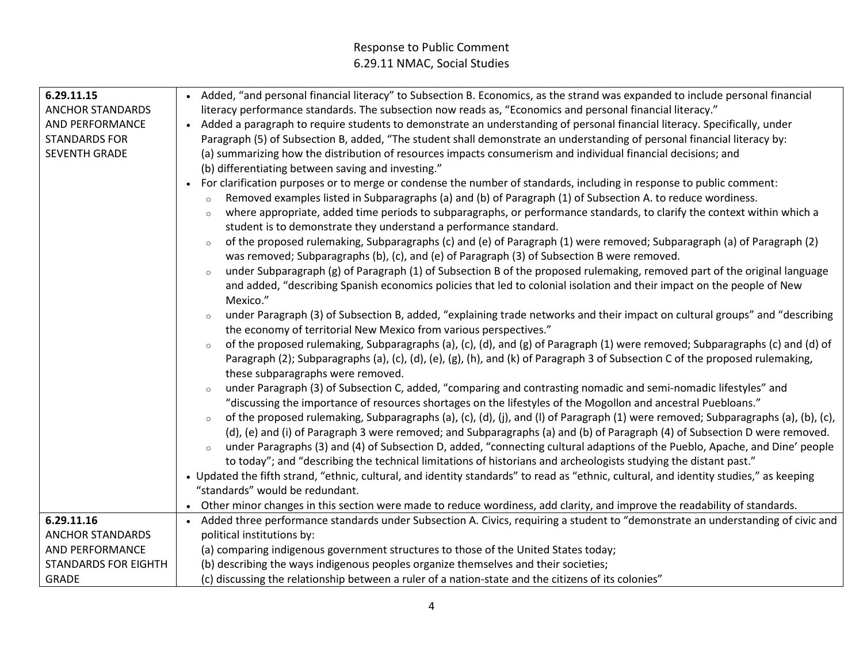| 6.29.11.15                  | • Added, "and personal financial literacy" to Subsection B. Economics, as the strand was expanded to include personal financial         |  |  |
|-----------------------------|-----------------------------------------------------------------------------------------------------------------------------------------|--|--|
| <b>ANCHOR STANDARDS</b>     | literacy performance standards. The subsection now reads as, "Economics and personal financial literacy."                               |  |  |
| AND PERFORMANCE             | • Added a paragraph to require students to demonstrate an understanding of personal financial literacy. Specifically, under             |  |  |
| <b>STANDARDS FOR</b>        | Paragraph (5) of Subsection B, added, "The student shall demonstrate an understanding of personal financial literacy by:                |  |  |
| <b>SEVENTH GRADE</b>        | (a) summarizing how the distribution of resources impacts consumerism and individual financial decisions; and                           |  |  |
|                             | (b) differentiating between saving and investing."                                                                                      |  |  |
|                             | For clarification purposes or to merge or condense the number of standards, including in response to public comment:                    |  |  |
|                             | Removed examples listed in Subparagraphs (a) and (b) of Paragraph (1) of Subsection A. to reduce wordiness.<br>$\circ$                  |  |  |
|                             | where appropriate, added time periods to subparagraphs, or performance standards, to clarify the context within which a<br>$\circ$      |  |  |
|                             | student is to demonstrate they understand a performance standard.                                                                       |  |  |
|                             | of the proposed rulemaking, Subparagraphs (c) and (e) of Paragraph (1) were removed; Subparagraph (a) of Paragraph (2)<br>$\circ$       |  |  |
|                             | was removed; Subparagraphs (b), (c), and (e) of Paragraph (3) of Subsection B were removed.                                             |  |  |
|                             | under Subparagraph (g) of Paragraph (1) of Subsection B of the proposed rulemaking, removed part of the original language<br>$\circ$    |  |  |
|                             | and added, "describing Spanish economics policies that led to colonial isolation and their impact on the people of New                  |  |  |
|                             | Mexico."                                                                                                                                |  |  |
|                             | under Paragraph (3) of Subsection B, added, "explaining trade networks and their impact on cultural groups" and "describing             |  |  |
|                             | the economy of territorial New Mexico from various perspectives."                                                                       |  |  |
|                             | of the proposed rulemaking, Subparagraphs (a), (c), (d), and (g) of Paragraph (1) were removed; Subparagraphs (c) and (d) of<br>$\circ$ |  |  |
|                             | Paragraph (2); Subparagraphs (a), (c), (d), (e), (g), (h), and (k) of Paragraph 3 of Subsection C of the proposed rulemaking,           |  |  |
|                             | these subparagraphs were removed.                                                                                                       |  |  |
|                             | under Paragraph (3) of Subsection C, added, "comparing and contrasting nomadic and semi-nomadic lifestyles" and                         |  |  |
|                             | "discussing the importance of resources shortages on the lifestyles of the Mogollon and ancestral Puebloans."                           |  |  |
|                             | of the proposed rulemaking, Subparagraphs (a), (c), (d), (j), and (l) of Paragraph (1) were removed; Subparagraphs (a), (b), (c),       |  |  |
|                             | $\circ$                                                                                                                                 |  |  |
|                             | (d), (e) and (i) of Paragraph 3 were removed; and Subparagraphs (a) and (b) of Paragraph (4) of Subsection D were removed.              |  |  |
|                             | under Paragraphs (3) and (4) of Subsection D, added, "connecting cultural adaptions of the Pueblo, Apache, and Dine' people             |  |  |
|                             | to today"; and "describing the technical limitations of historians and archeologists studying the distant past."                        |  |  |
|                             | • Updated the fifth strand, "ethnic, cultural, and identity standards" to read as "ethnic, cultural, and identity studies," as keeping  |  |  |
|                             | "standards" would be redundant.                                                                                                         |  |  |
|                             | • Other minor changes in this section were made to reduce wordiness, add clarity, and improve the readability of standards.             |  |  |
| 6.29.11.16                  | • Added three performance standards under Subsection A. Civics, requiring a student to "demonstrate an understanding of civic and       |  |  |
| <b>ANCHOR STANDARDS</b>     | political institutions by:                                                                                                              |  |  |
| <b>AND PERFORMANCE</b>      | (a) comparing indigenous government structures to those of the United States today;                                                     |  |  |
| <b>STANDARDS FOR EIGHTH</b> | (b) describing the ways indigenous peoples organize themselves and their societies;                                                     |  |  |
| <b>GRADE</b>                | (c) discussing the relationship between a ruler of a nation-state and the citizens of its colonies"                                     |  |  |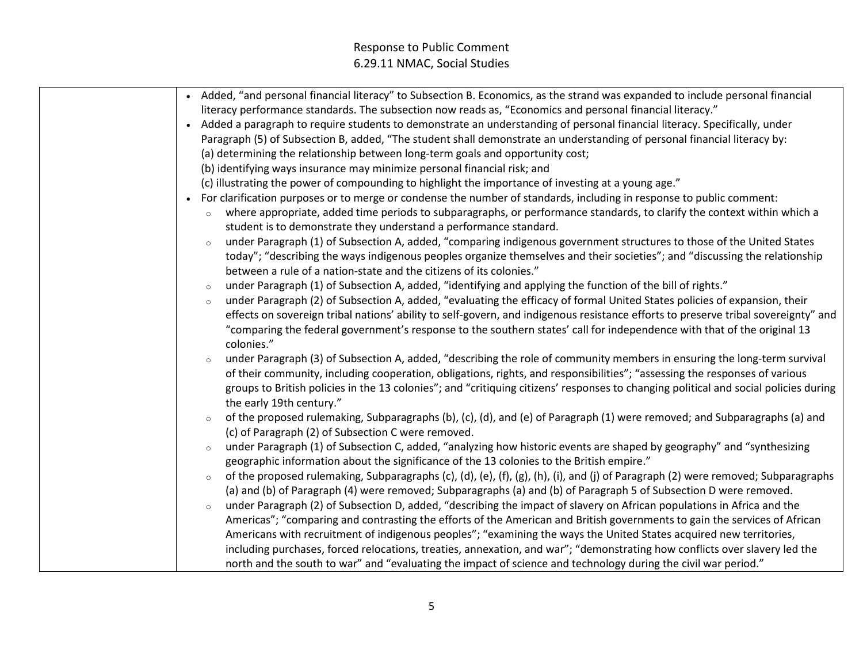| • Added, "and personal financial literacy" to Subsection B. Economics, as the strand was expanded to include personal financial              |
|----------------------------------------------------------------------------------------------------------------------------------------------|
| literacy performance standards. The subsection now reads as, "Economics and personal financial literacy."                                    |
| • Added a paragraph to require students to demonstrate an understanding of personal financial literacy. Specifically, under                  |
| Paragraph (5) of Subsection B, added, "The student shall demonstrate an understanding of personal financial literacy by:                     |
| (a) determining the relationship between long-term goals and opportunity cost;                                                               |
|                                                                                                                                              |
| (b) identifying ways insurance may minimize personal financial risk; and                                                                     |
| (c) illustrating the power of compounding to highlight the importance of investing at a young age."                                          |
| • For clarification purposes or to merge or condense the number of standards, including in response to public comment:                       |
| where appropriate, added time periods to subparagraphs, or performance standards, to clarify the context within which a<br>$\circ$           |
| student is to demonstrate they understand a performance standard.                                                                            |
| under Paragraph (1) of Subsection A, added, "comparing indigenous government structures to those of the United States<br>$\circ$             |
| today"; "describing the ways indigenous peoples organize themselves and their societies"; and "discussing the relationship                   |
| between a rule of a nation-state and the citizens of its colonies."                                                                          |
| under Paragraph (1) of Subsection A, added, "identifying and applying the function of the bill of rights."<br>$\circ$                        |
| under Paragraph (2) of Subsection A, added, "evaluating the efficacy of formal United States policies of expansion, their<br>$\circ$         |
| effects on sovereign tribal nations' ability to self-govern, and indigenous resistance efforts to preserve tribal sovereignty" and           |
| "comparing the federal government's response to the southern states' call for independence with that of the original 13                      |
| colonies."                                                                                                                                   |
| under Paragraph (3) of Subsection A, added, "describing the role of community members in ensuring the long-term survival                     |
| of their community, including cooperation, obligations, rights, and responsibilities"; "assessing the responses of various                   |
| groups to British policies in the 13 colonies"; and "critiquing citizens' responses to changing political and social policies during         |
| the early 19th century."                                                                                                                     |
| of the proposed rulemaking, Subparagraphs (b), (c), (d), and (e) of Paragraph (1) were removed; and Subparagraphs (a) and<br>$\circ$         |
| (c) of Paragraph (2) of Subsection C were removed.                                                                                           |
| under Paragraph (1) of Subsection C, added, "analyzing how historic events are shaped by geography" and "synthesizing<br>$\circ$             |
| geographic information about the significance of the 13 colonies to the British empire."                                                     |
| of the proposed rulemaking, Subparagraphs (c), (d), (e), (f), (g), (h), (i), and (j) of Paragraph (2) were removed; Subparagraphs<br>$\circ$ |
| (a) and (b) of Paragraph (4) were removed; Subparagraphs (a) and (b) of Paragraph 5 of Subsection D were removed.                            |
| under Paragraph (2) of Subsection D, added, "describing the impact of slavery on African populations in Africa and the<br>$\circ$            |
| Americas"; "comparing and contrasting the efforts of the American and British governments to gain the services of African                    |
| Americans with recruitment of indigenous peoples"; "examining the ways the United States acquired new territories,                           |
| including purchases, forced relocations, treaties, annexation, and war"; "demonstrating how conflicts over slavery led the                   |
| north and the south to war" and "evaluating the impact of science and technology during the civil war period."                               |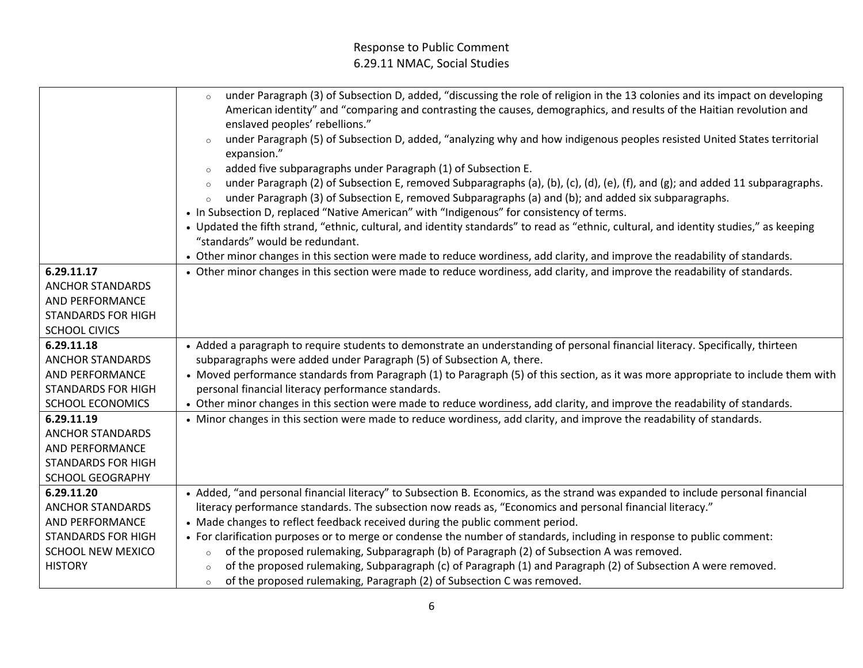|                           | under Paragraph (3) of Subsection D, added, "discussing the role of religion in the 13 colonies and its impact on developing<br>$\circ$            |  |  |
|---------------------------|----------------------------------------------------------------------------------------------------------------------------------------------------|--|--|
|                           | American identity" and "comparing and contrasting the causes, demographics, and results of the Haitian revolution and                              |  |  |
|                           | enslaved peoples' rebellions."                                                                                                                     |  |  |
|                           | under Paragraph (5) of Subsection D, added, "analyzing why and how indigenous peoples resisted United States territorial<br>$\circ$<br>expansion." |  |  |
|                           | added five subparagraphs under Paragraph (1) of Subsection E.<br>$\circ$                                                                           |  |  |
|                           | under Paragraph (2) of Subsection E, removed Subparagraphs (a), (b), (c), (d), (e), (f), and (g); and added 11 subparagraphs.<br>$\circ$           |  |  |
|                           | under Paragraph (3) of Subsection E, removed Subparagraphs (a) and (b); and added six subparagraphs.<br>$\circ$                                    |  |  |
|                           | • In Subsection D, replaced "Native American" with "Indigenous" for consistency of terms.                                                          |  |  |
|                           | • Updated the fifth strand, "ethnic, cultural, and identity standards" to read as "ethnic, cultural, and identity studies," as keeping             |  |  |
|                           | "standards" would be redundant.                                                                                                                    |  |  |
|                           | • Other minor changes in this section were made to reduce wordiness, add clarity, and improve the readability of standards.                        |  |  |
| 6.29.11.17                | • Other minor changes in this section were made to reduce wordiness, add clarity, and improve the readability of standards.                        |  |  |
| <b>ANCHOR STANDARDS</b>   |                                                                                                                                                    |  |  |
| AND PERFORMANCE           |                                                                                                                                                    |  |  |
| <b>STANDARDS FOR HIGH</b> |                                                                                                                                                    |  |  |
| <b>SCHOOL CIVICS</b>      |                                                                                                                                                    |  |  |
| 6.29.11.18                | • Added a paragraph to require students to demonstrate an understanding of personal financial literacy. Specifically, thirteen                     |  |  |
| <b>ANCHOR STANDARDS</b>   | subparagraphs were added under Paragraph (5) of Subsection A, there.                                                                               |  |  |
| AND PERFORMANCE           | • Moved performance standards from Paragraph (1) to Paragraph (5) of this section, as it was more appropriate to include them with                 |  |  |
| <b>STANDARDS FOR HIGH</b> | personal financial literacy performance standards.                                                                                                 |  |  |
| <b>SCHOOL ECONOMICS</b>   | • Other minor changes in this section were made to reduce wordiness, add clarity, and improve the readability of standards.                        |  |  |
| 6.29.11.19                | • Minor changes in this section were made to reduce wordiness, add clarity, and improve the readability of standards.                              |  |  |
| <b>ANCHOR STANDARDS</b>   |                                                                                                                                                    |  |  |
| AND PERFORMANCE           |                                                                                                                                                    |  |  |
| <b>STANDARDS FOR HIGH</b> |                                                                                                                                                    |  |  |
| <b>SCHOOL GEOGRAPHY</b>   |                                                                                                                                                    |  |  |
| 6.29.11.20                | • Added, "and personal financial literacy" to Subsection B. Economics, as the strand was expanded to include personal financial                    |  |  |
| <b>ANCHOR STANDARDS</b>   | literacy performance standards. The subsection now reads as, "Economics and personal financial literacy."                                          |  |  |
| AND PERFORMANCE           | • Made changes to reflect feedback received during the public comment period.                                                                      |  |  |
| <b>STANDARDS FOR HIGH</b> | • For clarification purposes or to merge or condense the number of standards, including in response to public comment:                             |  |  |
| SCHOOL NEW MEXICO         | of the proposed rulemaking, Subparagraph (b) of Paragraph (2) of Subsection A was removed.<br>$\circ$                                              |  |  |
| <b>HISTORY</b>            | of the proposed rulemaking, Subparagraph (c) of Paragraph (1) and Paragraph (2) of Subsection A were removed.                                      |  |  |
|                           | $\circ$                                                                                                                                            |  |  |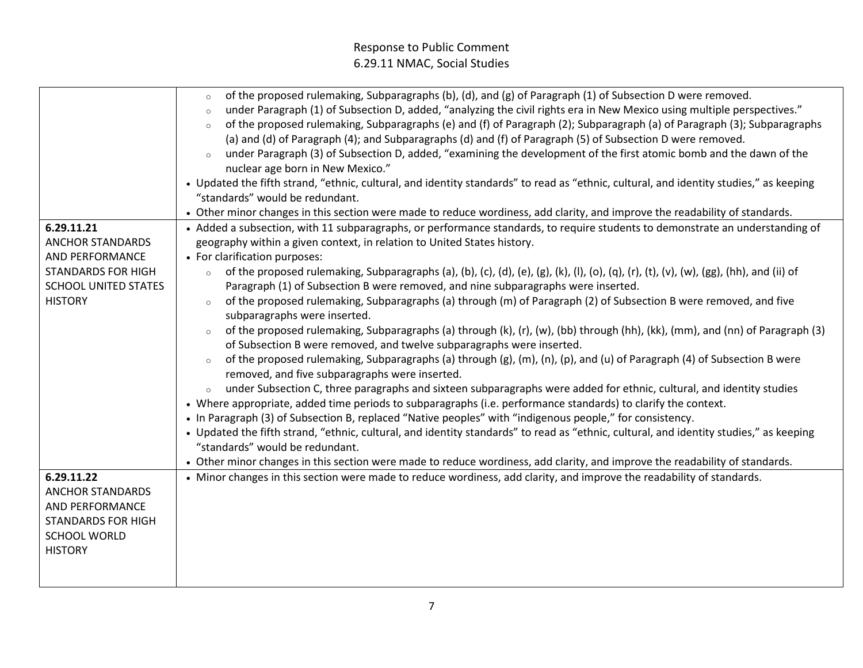| 6.29.11.21                                               | of the proposed rulemaking, Subparagraphs (b), (d), and (g) of Paragraph (1) of Subsection D were removed.<br>$\circ$<br>under Paragraph (1) of Subsection D, added, "analyzing the civil rights era in New Mexico using multiple perspectives."<br>$\circ$<br>of the proposed rulemaking, Subparagraphs (e) and (f) of Paragraph (2); Subparagraph (a) of Paragraph (3); Subparagraphs<br>$\circ$<br>(a) and (d) of Paragraph (4); and Subparagraphs (d) and (f) of Paragraph (5) of Subsection D were removed.<br>under Paragraph (3) of Subsection D, added, "examining the development of the first atomic bomb and the dawn of the<br>nuclear age born in New Mexico."<br>• Updated the fifth strand, "ethnic, cultural, and identity standards" to read as "ethnic, cultural, and identity studies," as keeping<br>"standards" would be redundant.<br>• Other minor changes in this section were made to reduce wordiness, add clarity, and improve the readability of standards.<br>• Added a subsection, with 11 subparagraphs, or performance standards, to require students to demonstrate an understanding of |
|----------------------------------------------------------|--------------------------------------------------------------------------------------------------------------------------------------------------------------------------------------------------------------------------------------------------------------------------------------------------------------------------------------------------------------------------------------------------------------------------------------------------------------------------------------------------------------------------------------------------------------------------------------------------------------------------------------------------------------------------------------------------------------------------------------------------------------------------------------------------------------------------------------------------------------------------------------------------------------------------------------------------------------------------------------------------------------------------------------------------------------------------------------------------------------------------|
| <b>ANCHOR STANDARDS</b>                                  | geography within a given context, in relation to United States history.                                                                                                                                                                                                                                                                                                                                                                                                                                                                                                                                                                                                                                                                                                                                                                                                                                                                                                                                                                                                                                                  |
| AND PERFORMANCE                                          | • For clarification purposes:                                                                                                                                                                                                                                                                                                                                                                                                                                                                                                                                                                                                                                                                                                                                                                                                                                                                                                                                                                                                                                                                                            |
| <b>STANDARDS FOR HIGH</b><br><b>SCHOOL UNITED STATES</b> | of the proposed rulemaking, Subparagraphs (a), (b), (c), (d), (e), (g), (k), (l), (o), (q), (r), (t), (v), (w), (gg), (hh), and (ii) of<br>$\circ$<br>Paragraph (1) of Subsection B were removed, and nine subparagraphs were inserted.                                                                                                                                                                                                                                                                                                                                                                                                                                                                                                                                                                                                                                                                                                                                                                                                                                                                                  |
| <b>HISTORY</b>                                           | of the proposed rulemaking, Subparagraphs (a) through (m) of Paragraph (2) of Subsection B were removed, and five<br>$\circ$                                                                                                                                                                                                                                                                                                                                                                                                                                                                                                                                                                                                                                                                                                                                                                                                                                                                                                                                                                                             |
|                                                          | subparagraphs were inserted.                                                                                                                                                                                                                                                                                                                                                                                                                                                                                                                                                                                                                                                                                                                                                                                                                                                                                                                                                                                                                                                                                             |
|                                                          | of the proposed rulemaking, Subparagraphs (a) through (k), (r), (w), (bb) through (hh), (kk), (mm), and (nn) of Paragraph (3)<br>of Subsection B were removed, and twelve subparagraphs were inserted.                                                                                                                                                                                                                                                                                                                                                                                                                                                                                                                                                                                                                                                                                                                                                                                                                                                                                                                   |
|                                                          | of the proposed rulemaking, Subparagraphs (a) through (g), (m), (n), (p), and (u) of Paragraph (4) of Subsection B were<br>$\circ$<br>removed, and five subparagraphs were inserted.                                                                                                                                                                                                                                                                                                                                                                                                                                                                                                                                                                                                                                                                                                                                                                                                                                                                                                                                     |
|                                                          | under Subsection C, three paragraphs and sixteen subparagraphs were added for ethnic, cultural, and identity studies<br>• Where appropriate, added time periods to subparagraphs (i.e. performance standards) to clarify the context.<br>• In Paragraph (3) of Subsection B, replaced "Native peoples" with "indigenous people," for consistency.                                                                                                                                                                                                                                                                                                                                                                                                                                                                                                                                                                                                                                                                                                                                                                        |
|                                                          | • Updated the fifth strand, "ethnic, cultural, and identity standards" to read as "ethnic, cultural, and identity studies," as keeping<br>"standards" would be redundant.                                                                                                                                                                                                                                                                                                                                                                                                                                                                                                                                                                                                                                                                                                                                                                                                                                                                                                                                                |
|                                                          | • Other minor changes in this section were made to reduce wordiness, add clarity, and improve the readability of standards.                                                                                                                                                                                                                                                                                                                                                                                                                                                                                                                                                                                                                                                                                                                                                                                                                                                                                                                                                                                              |
| 6.29.11.22                                               | • Minor changes in this section were made to reduce wordiness, add clarity, and improve the readability of standards.                                                                                                                                                                                                                                                                                                                                                                                                                                                                                                                                                                                                                                                                                                                                                                                                                                                                                                                                                                                                    |
| ANCHOR STANDARDS                                         |                                                                                                                                                                                                                                                                                                                                                                                                                                                                                                                                                                                                                                                                                                                                                                                                                                                                                                                                                                                                                                                                                                                          |
| <b>AND PERFORMANCE</b>                                   |                                                                                                                                                                                                                                                                                                                                                                                                                                                                                                                                                                                                                                                                                                                                                                                                                                                                                                                                                                                                                                                                                                                          |
| <b>STANDARDS FOR HIGH</b>                                |                                                                                                                                                                                                                                                                                                                                                                                                                                                                                                                                                                                                                                                                                                                                                                                                                                                                                                                                                                                                                                                                                                                          |
| <b>SCHOOL WORLD</b><br><b>HISTORY</b>                    |                                                                                                                                                                                                                                                                                                                                                                                                                                                                                                                                                                                                                                                                                                                                                                                                                                                                                                                                                                                                                                                                                                                          |
|                                                          |                                                                                                                                                                                                                                                                                                                                                                                                                                                                                                                                                                                                                                                                                                                                                                                                                                                                                                                                                                                                                                                                                                                          |
|                                                          |                                                                                                                                                                                                                                                                                                                                                                                                                                                                                                                                                                                                                                                                                                                                                                                                                                                                                                                                                                                                                                                                                                                          |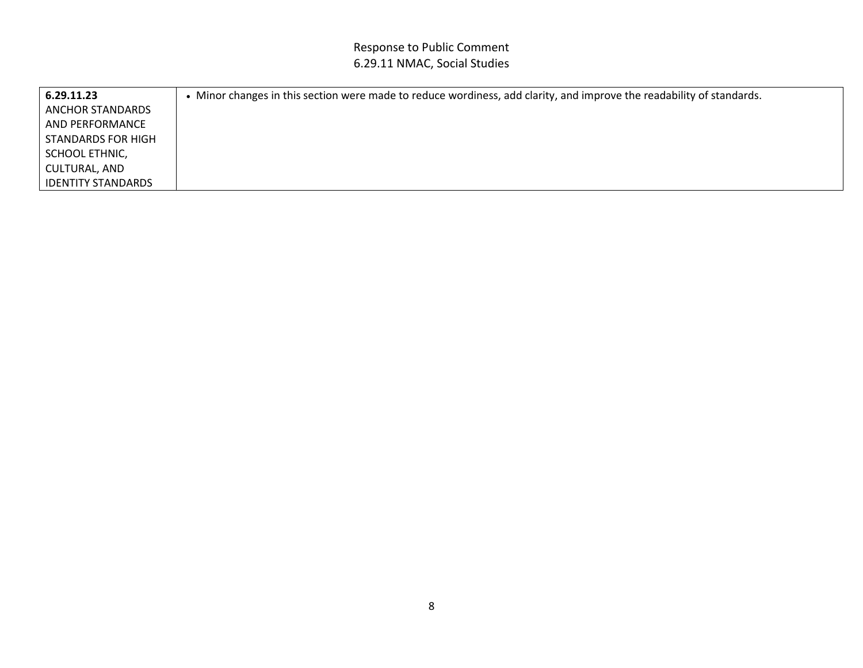| 6.29.11.23                | Minor changes in this section were made to reduce wordiness, add clarity, and improve the readability of standards. |
|---------------------------|---------------------------------------------------------------------------------------------------------------------|
| LANCHOR STANDARDS         |                                                                                                                     |
| l AND PERFORMANCE         |                                                                                                                     |
| l STANDARDS FOR HIGH      |                                                                                                                     |
| SCHOOL ETHNIC,            |                                                                                                                     |
| CULTURAL, AND             |                                                                                                                     |
| <b>IDENTITY STANDARDS</b> |                                                                                                                     |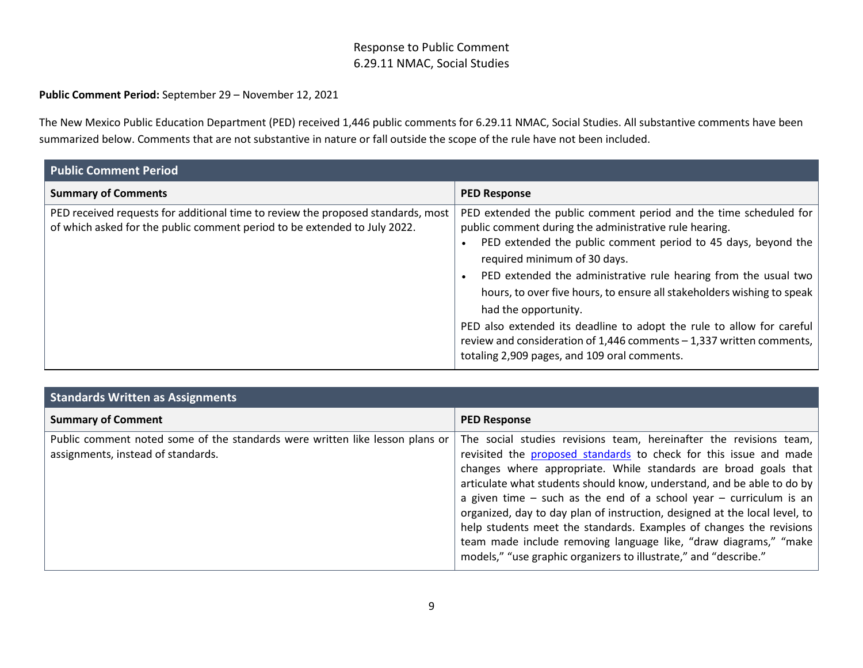#### **Public Comment Period:** September 29 – November 12, 2021

The New Mexico Public Education Department (PED) received 1,446 public comments for 6.29.11 NMAC, Social Studies. All substantive comments have been summarized below. Comments that are not substantive in nature or fall outside the scope of the rule have not been included.

| <b>Public Comment Period</b>                                                                                                                                  |                                                                                                                                                                                                                                                                                                                                                                                                                                                                                                                                                                                                      |  |
|---------------------------------------------------------------------------------------------------------------------------------------------------------------|------------------------------------------------------------------------------------------------------------------------------------------------------------------------------------------------------------------------------------------------------------------------------------------------------------------------------------------------------------------------------------------------------------------------------------------------------------------------------------------------------------------------------------------------------------------------------------------------------|--|
| <b>Summary of Comments</b>                                                                                                                                    | <b>PED Response</b>                                                                                                                                                                                                                                                                                                                                                                                                                                                                                                                                                                                  |  |
| PED received requests for additional time to review the proposed standards, most<br>of which asked for the public comment period to be extended to July 2022. | PED extended the public comment period and the time scheduled for<br>public comment during the administrative rule hearing.<br>PED extended the public comment period to 45 days, beyond the<br>required minimum of 30 days.<br>PED extended the administrative rule hearing from the usual two<br>hours, to over five hours, to ensure all stakeholders wishing to speak  <br>had the opportunity.<br>PED also extended its deadline to adopt the rule to allow for careful<br>review and consideration of 1,446 comments - 1,337 written comments,<br>totaling 2,909 pages, and 109 oral comments. |  |

| <b>Standards Written as Assignments</b>                                                                            |                                                                                                                                                                                                                                                                                                                                                                                                                                                                                                                                                                                                                                                             |  |
|--------------------------------------------------------------------------------------------------------------------|-------------------------------------------------------------------------------------------------------------------------------------------------------------------------------------------------------------------------------------------------------------------------------------------------------------------------------------------------------------------------------------------------------------------------------------------------------------------------------------------------------------------------------------------------------------------------------------------------------------------------------------------------------------|--|
| <b>Summary of Comment</b>                                                                                          | <b>PED Response</b>                                                                                                                                                                                                                                                                                                                                                                                                                                                                                                                                                                                                                                         |  |
| Public comment noted some of the standards were written like lesson plans or<br>assignments, instead of standards. | The social studies revisions team, hereinafter the revisions team,<br>revisited the proposed standards to check for this issue and made<br>changes where appropriate. While standards are broad goals that<br>articulate what students should know, understand, and be able to do by<br>a given time $-$ such as the end of a school year $-$ curriculum is an<br>organized, day to day plan of instruction, designed at the local level, to<br>help students meet the standards. Examples of changes the revisions<br>team made include removing language like, "draw diagrams," "make<br>models," "use graphic organizers to illustrate," and "describe." |  |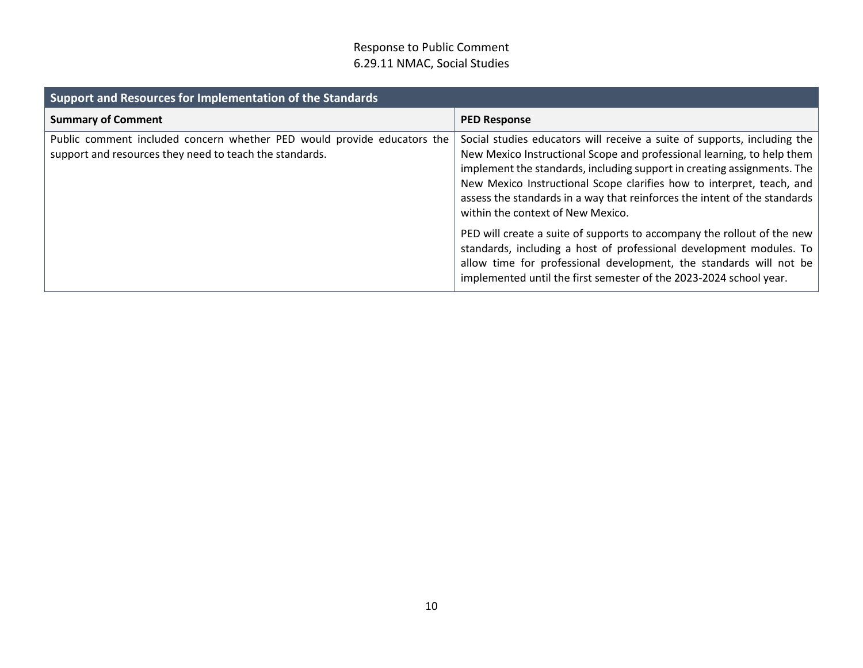| Support and Resources for Implementation of the Standards                                                                          |                                                                                                                                                                                                                                                                                                                                                                                                                                                                                                                                                                                                                                                                                                                        |  |
|------------------------------------------------------------------------------------------------------------------------------------|------------------------------------------------------------------------------------------------------------------------------------------------------------------------------------------------------------------------------------------------------------------------------------------------------------------------------------------------------------------------------------------------------------------------------------------------------------------------------------------------------------------------------------------------------------------------------------------------------------------------------------------------------------------------------------------------------------------------|--|
| <b>Summary of Comment</b>                                                                                                          | <b>PED Response</b>                                                                                                                                                                                                                                                                                                                                                                                                                                                                                                                                                                                                                                                                                                    |  |
| Public comment included concern whether PED would provide educators the<br>support and resources they need to teach the standards. | Social studies educators will receive a suite of supports, including the<br>New Mexico Instructional Scope and professional learning, to help them<br>implement the standards, including support in creating assignments. The<br>New Mexico Instructional Scope clarifies how to interpret, teach, and<br>assess the standards in a way that reinforces the intent of the standards<br>within the context of New Mexico.<br>PED will create a suite of supports to accompany the rollout of the new<br>standards, including a host of professional development modules. To<br>allow time for professional development, the standards will not be<br>implemented until the first semester of the 2023-2024 school year. |  |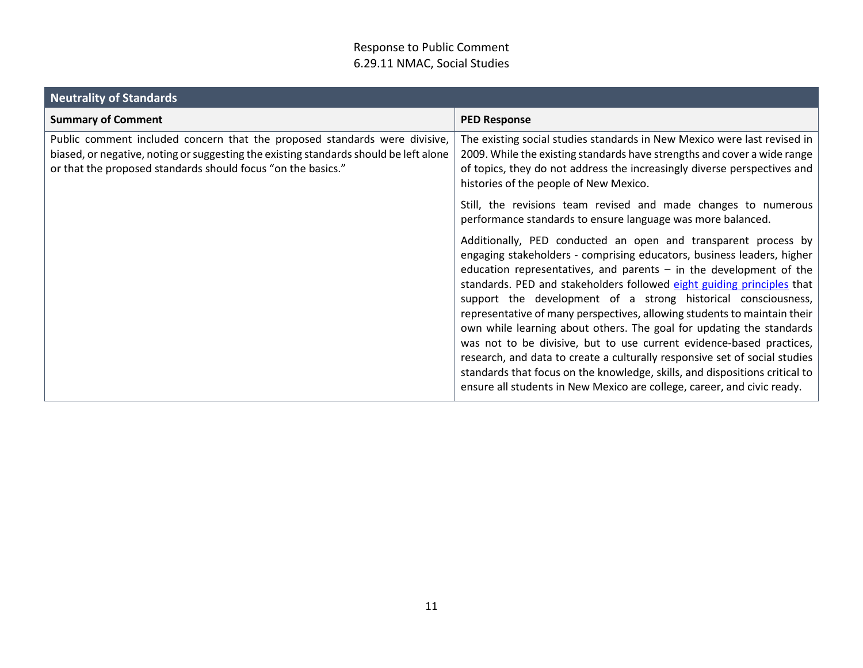| <b>Neutrality of Standards</b>                                                                                                                                                                                                      |                                                                                                                                                                                                                                                                                                                                                                                                                                                                                                                                                                                                                                                                                                                                                                                                                                 |
|-------------------------------------------------------------------------------------------------------------------------------------------------------------------------------------------------------------------------------------|---------------------------------------------------------------------------------------------------------------------------------------------------------------------------------------------------------------------------------------------------------------------------------------------------------------------------------------------------------------------------------------------------------------------------------------------------------------------------------------------------------------------------------------------------------------------------------------------------------------------------------------------------------------------------------------------------------------------------------------------------------------------------------------------------------------------------------|
| <b>Summary of Comment</b>                                                                                                                                                                                                           | <b>PED Response</b>                                                                                                                                                                                                                                                                                                                                                                                                                                                                                                                                                                                                                                                                                                                                                                                                             |
| Public comment included concern that the proposed standards were divisive,<br>biased, or negative, noting or suggesting the existing standards should be left alone<br>or that the proposed standards should focus "on the basics." | The existing social studies standards in New Mexico were last revised in<br>2009. While the existing standards have strengths and cover a wide range<br>of topics, they do not address the increasingly diverse perspectives and<br>histories of the people of New Mexico.                                                                                                                                                                                                                                                                                                                                                                                                                                                                                                                                                      |
|                                                                                                                                                                                                                                     | Still, the revisions team revised and made changes to numerous<br>performance standards to ensure language was more balanced.                                                                                                                                                                                                                                                                                                                                                                                                                                                                                                                                                                                                                                                                                                   |
|                                                                                                                                                                                                                                     | Additionally, PED conducted an open and transparent process by<br>engaging stakeholders - comprising educators, business leaders, higher<br>education representatives, and parents $-$ in the development of the<br>standards. PED and stakeholders followed eight guiding principles that<br>support the development of a strong historical consciousness,<br>representative of many perspectives, allowing students to maintain their<br>own while learning about others. The goal for updating the standards<br>was not to be divisive, but to use current evidence-based practices,<br>research, and data to create a culturally responsive set of social studies<br>standards that focus on the knowledge, skills, and dispositions critical to<br>ensure all students in New Mexico are college, career, and civic ready. |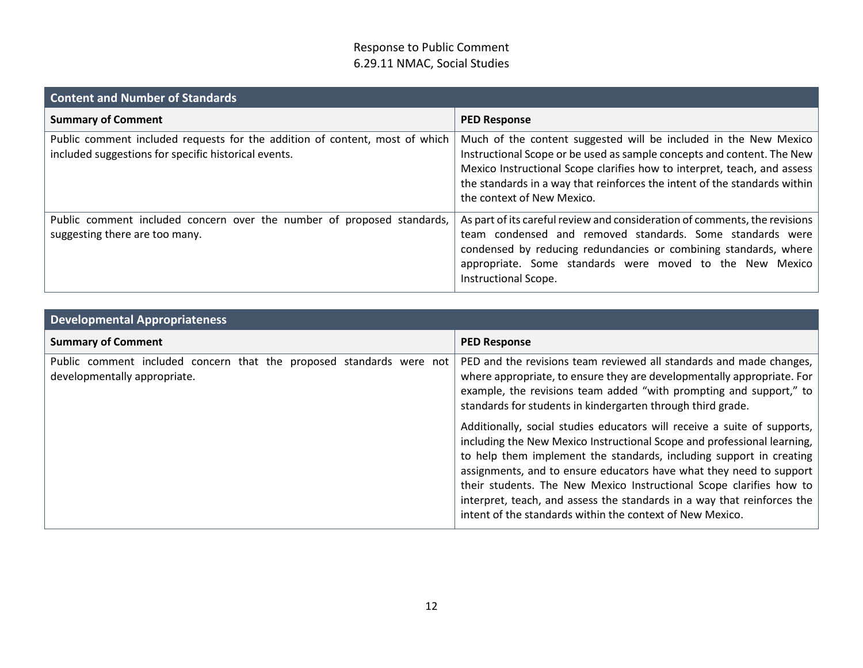| <b>Content and Number of Standards</b>                                                                                              |                                                                                                                                                                                                                                                                                                                                   |
|-------------------------------------------------------------------------------------------------------------------------------------|-----------------------------------------------------------------------------------------------------------------------------------------------------------------------------------------------------------------------------------------------------------------------------------------------------------------------------------|
| <b>Summary of Comment</b>                                                                                                           | <b>PED Response</b>                                                                                                                                                                                                                                                                                                               |
| Public comment included requests for the addition of content, most of which<br>included suggestions for specific historical events. | Much of the content suggested will be included in the New Mexico<br>Instructional Scope or be used as sample concepts and content. The New<br>Mexico Instructional Scope clarifies how to interpret, teach, and assess<br>the standards in a way that reinforces the intent of the standards within<br>the context of New Mexico. |
| Public comment included concern over the number of proposed standards,<br>suggesting there are too many.                            | As part of its careful review and consideration of comments, the revisions<br>team condensed and removed standards. Some standards were<br>condensed by reducing redundancies or combining standards, where<br>appropriate. Some standards were moved to the New Mexico<br>Instructional Scope.                                   |

| <b>Developmental Appropriateness</b>                                                                 |                                                                                                                                                                                                                                                                                                                                                                                                                                                                                                                  |  |
|------------------------------------------------------------------------------------------------------|------------------------------------------------------------------------------------------------------------------------------------------------------------------------------------------------------------------------------------------------------------------------------------------------------------------------------------------------------------------------------------------------------------------------------------------------------------------------------------------------------------------|--|
| <b>Summary of Comment</b>                                                                            | <b>PED Response</b>                                                                                                                                                                                                                                                                                                                                                                                                                                                                                              |  |
| Public comment included concern that the proposed standards were not<br>developmentally appropriate. | PED and the revisions team reviewed all standards and made changes,<br>where appropriate, to ensure they are developmentally appropriate. For<br>example, the revisions team added "with prompting and support," to<br>standards for students in kindergarten through third grade.                                                                                                                                                                                                                               |  |
|                                                                                                      | Additionally, social studies educators will receive a suite of supports,<br>including the New Mexico Instructional Scope and professional learning,<br>to help them implement the standards, including support in creating<br>assignments, and to ensure educators have what they need to support<br>their students. The New Mexico Instructional Scope clarifies how to<br>interpret, teach, and assess the standards in a way that reinforces the<br>intent of the standards within the context of New Mexico. |  |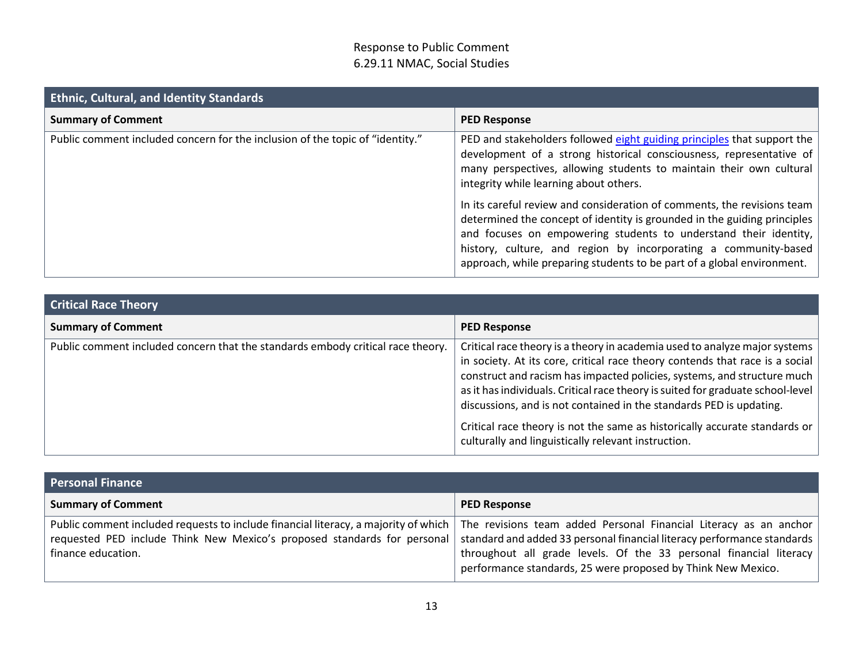| <b>Ethnic, Cultural, and Identity Standards</b>                               |                                                                                                                                                                                                                                                                                                                                                                      |  |
|-------------------------------------------------------------------------------|----------------------------------------------------------------------------------------------------------------------------------------------------------------------------------------------------------------------------------------------------------------------------------------------------------------------------------------------------------------------|--|
| <b>Summary of Comment</b>                                                     | <b>PED Response</b>                                                                                                                                                                                                                                                                                                                                                  |  |
| Public comment included concern for the inclusion of the topic of "identity." | PED and stakeholders followed eight guiding principles that support the<br>development of a strong historical consciousness, representative of<br>many perspectives, allowing students to maintain their own cultural<br>integrity while learning about others.                                                                                                      |  |
|                                                                               | In its careful review and consideration of comments, the revisions team<br>determined the concept of identity is grounded in the guiding principles<br>and focuses on empowering students to understand their identity,<br>history, culture, and region by incorporating a community-based<br>approach, while preparing students to be part of a global environment. |  |

| <b>Critical Race Theory</b>                                                     |                                                                                                                                                                                                                                                                                                                                                                                                 |  |
|---------------------------------------------------------------------------------|-------------------------------------------------------------------------------------------------------------------------------------------------------------------------------------------------------------------------------------------------------------------------------------------------------------------------------------------------------------------------------------------------|--|
| <b>Summary of Comment</b>                                                       | <b>PED Response</b>                                                                                                                                                                                                                                                                                                                                                                             |  |
| Public comment included concern that the standards embody critical race theory. | Critical race theory is a theory in academia used to analyze major systems<br>in society. At its core, critical race theory contends that race is a social<br>construct and racism has impacted policies, systems, and structure much<br>as it has individuals. Critical race theory is suited for graduate school-level<br>discussions, and is not contained in the standards PED is updating. |  |
|                                                                                 | Critical race theory is not the same as historically accurate standards or<br>culturally and linguistically relevant instruction.                                                                                                                                                                                                                                                               |  |

| <b>Personal Finance</b>                                                                                                                                                               |                                                                                                                                                                                                                                                                                      |
|---------------------------------------------------------------------------------------------------------------------------------------------------------------------------------------|--------------------------------------------------------------------------------------------------------------------------------------------------------------------------------------------------------------------------------------------------------------------------------------|
| <b>Summary of Comment</b>                                                                                                                                                             | <b>PED Response</b>                                                                                                                                                                                                                                                                  |
| Public comment included requests to include financial literacy, a majority of which<br>requested PED include Think New Mexico's proposed standards for personal<br>finance education. | The revisions team added Personal Financial Literacy as an anchor<br>standard and added 33 personal financial literacy performance standards  <br>throughout all grade levels. Of the 33 personal financial literacy<br>performance standards, 25 were proposed by Think New Mexico. |